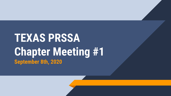# **TEXAS PRSSA Chapter Meeting #1 September 8th, 2020**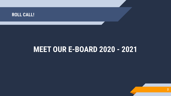

# **MEET OUR E-BOARD 2020 - 2021**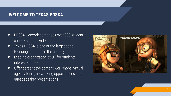#### **WELCOME TO TEXAS PRSSA**

- ▰ PRSSA Network comprises over 300 student chapters nationwide
- ▰ Texas PRSSA is one of the largest and founding chapters in the country
- ▰ Leading organization at UT for students interested in PR
- Offer career development workshops, virtual agency tours, networking opportunities, and guest speaker presentations

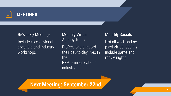

# **MEETINGS**

#### Bi-Weekly Meetings

Includes professional speakers and industry workshops

#### Monthly Virtual Agency Tours

Professionals record their day-to-day lives in the PR/Communications industry

#### Monthly Socials

Not all work and no play! Virtual socials include game and movie nights

**Next Meeting: September 22nd**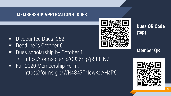#### **MEMBERSHIP APPLICATION + DUES**

- Discounted Dues- \$52
- Deadline is October 6
- Dues scholarship by October 1
	- ▻ https://forms.gle/isZCJ36Sg7pSt8FN7
- Fall 2020 Membership Form: https://forms.gle/WN4S47TNqwKqAHaP6



**Dues QR Code (top)**

**Member QR** 

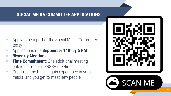### **SOCIAL MEDIA COMMITTEE APPLICATIONS**

- Apply to be a part of the Social Media Committee today!
- ▰ Applications due **September 14th by 5 PM**
- ▰ **Biweekly Meetings**
- **Time Commitment**: One additional meeting outside of regular PRSSA meetings
- Great resume builder, gain experience in social media, and you get to meet new people!



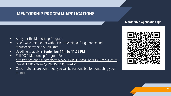## **MENTORSHIP PROGRAM APPLICATIONS**

#### **Mentorship Application QR**

- ▰ Apply for the Mentorship Program!
- Meet twice a semester with a PR professional for quidance and mentorship within the industry
- ▰ Deadline to apply is **September 14th by 11:59 PM**
- ▰ Fall 2020 Mentorship Program Form: [https://docs.google.com/forms/d/e/1FAIpQLSdab4FAph0IC9JpWwFyyEm](https://docs.google.com/forms/d/e/1FAIpQLSdab4FAph0IC9JpWwFyyEmCAVktTPCBg9ZRAoC_6VtZUMVzSg/viewform) [CAVktTPCBg9ZRAoC\\_6VtZUMVzSg/viewform](https://docs.google.com/forms/d/e/1FAIpQLSdab4FAph0IC9JpWwFyyEmCAVktTPCBg9ZRAoC_6VtZUMVzSg/viewform)
- Once matches are confirmed, you will be responsible for contacting your mentor

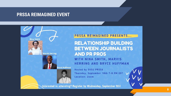#### **PRSSA REIMAGINED EVENT**



#### **PRSSA REIMAGINED PRESENTS...**

**RELATIONSHIP BUILDING BETWEEN JOURNALISTS AND PR PROS** WITH NINA SMITH, MARVIS

HERRING AND BRYCE HUFFMAN

**Hosted by GVSU PRSSA** Thursday, September 10th 7-8 PM EST **Location: Zoom** 

Interested in attending? Register by Wednesday, September 9th!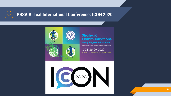# **PRSA Virtual International Conference: ICON 2020**



#### **Strategic Communications**

**Navigating a World Disrupted DISINFORMATION, PANDEMIC, SOCIAL INJUSTICE.** 

OCT. 26-29, 2020 Be there - no matter where you are in the world!